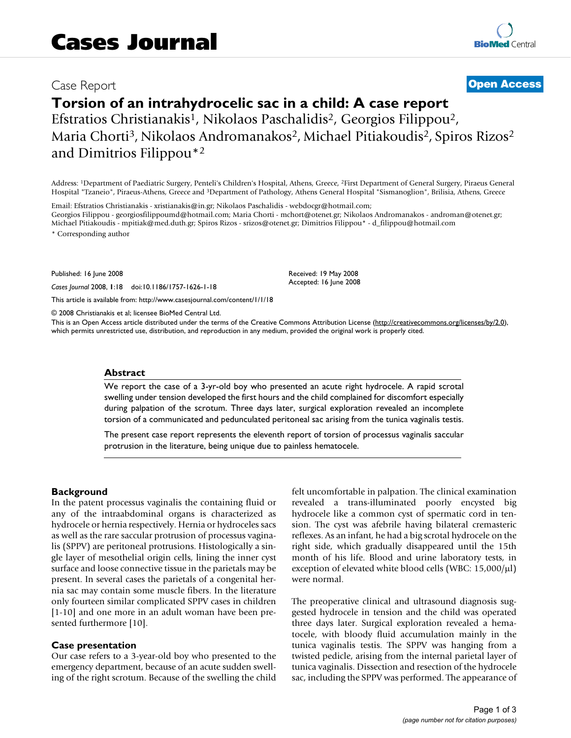# Case Report **[Open Access](http://www.biomedcentral.com/info/about/charter/)**

# **Torsion of an intrahydrocelic sac in a child: A case report**

Efstratios Christianakis1, Nikolaos Paschalidis2, Georgios Filippou2, Maria Chorti<sup>3</sup>, Nikolaos Andromanakos<sup>2</sup>, Michael Pitiakoudis<sup>2</sup>, Spiros Rizos<sup>2</sup> and Dimitrios Filippou\*2

Address: 1Department of Paediatric Surgery, Penteli's Children's Hospital, Athens, Greece, 2First Department of General Surgery, Piraeus General Hospital "Tzaneio", Piraeus-Athens, Greece and 3Department of Pathology, Athens General Hospital "Sismanoglion", Brilisia, Athens, Greece

Email: Efstratios Christianakis - xristianakis@in.gr; Nikolaos Paschalidis - webdocgr@hotmail.com; Georgios Filippou - georgiosfilippoumd@hotmail.com; Maria Chorti - mchort@otenet.gr; Nikolaos Andromanakos - androman@otenet.gr; Michael Pitiakoudis - mpitiak@med.duth.gr; Spiros Rizos - srizos@otenet.gr; Dimitrios Filippou\* - d\_filippou@hotmail.com \* Corresponding author

Published: 16 June 2008

*Cases Journal* 2008, **1**:18 doi:10.1186/1757-1626-1-18

[This article is available from: http://www.casesjournal.com/content/1/1/18](http://www.casesjournal.com/content/1/1/18)

© 2008 Christianakis et al; licensee BioMed Central Ltd.

This is an Open Access article distributed under the terms of the Creative Commons Attribution License [\(http://creativecommons.org/licenses/by/2.0\)](http://creativecommons.org/licenses/by/2.0), which permits unrestricted use, distribution, and reproduction in any medium, provided the original work is properly cited.

Received: 19 May 2008 Accepted: 16 June 2008

#### **Abstract**

We report the case of a 3-yr-old boy who presented an acute right hydrocele. A rapid scrotal swelling under tension developed the first hours and the child complained for discomfort especially during palpation of the scrotum. Three days later, surgical exploration revealed an incomplete torsion of a communicated and pedunculated peritoneal sac arising from the tunica vaginalis testis.

The present case report represents the eleventh report of torsion of processus vaginalis saccular protrusion in the literature, being unique due to painless hematocele.

#### **Background**

In the patent processus vaginalis the containing fluid or any of the intraabdominal organs is characterized as hydrocele or hernia respectively. Hernia or hydroceles sacs as well as the rare saccular protrusion of processus vaginalis (SPPV) are peritoneal protrusions. Histologically a single layer of mesothelial origin cells, lining the inner cyst surface and loose connective tissue in the parietals may be present. In several cases the parietals of a congenital hernia sac may contain some muscle fibers. In the literature only fourteen similar complicated SPPV cases in children [1-10] and one more in an adult woman have been presented furthermore [10].

#### **Case presentation**

Our case refers to a 3-year-old boy who presented to the emergency department, because of an acute sudden swelling of the right scrotum. Because of the swelling the child felt uncomfortable in palpation. The clinical examination revealed a trans-illuminated poorly encysted big hydrocele like a common cyst of spermatic cord in tension. The cyst was afebrile having bilateral cremasteric reflexes. As an infant, he had a big scrotal hydrocele on the right side, which gradually disappeared until the 15th month of his life. Blood and urine laboratory tests, in exception of elevated white blood cells (WBC: 15,000/μl) were normal.

The preoperative clinical and ultrasound diagnosis suggested hydrocele in tension and the child was operated three days later. Surgical exploration revealed a hematocele, with bloody fluid accumulation mainly in the tunica vaginalis testis. The SPPV was hanging from a twisted pedicle, arising from the internal parietal layer of tunica vaginalis. Dissection and resection of the hydrocele sac, including the SPPV was performed. The appearance of

**[BioMed](http://www.biomedcentral.com/)** Central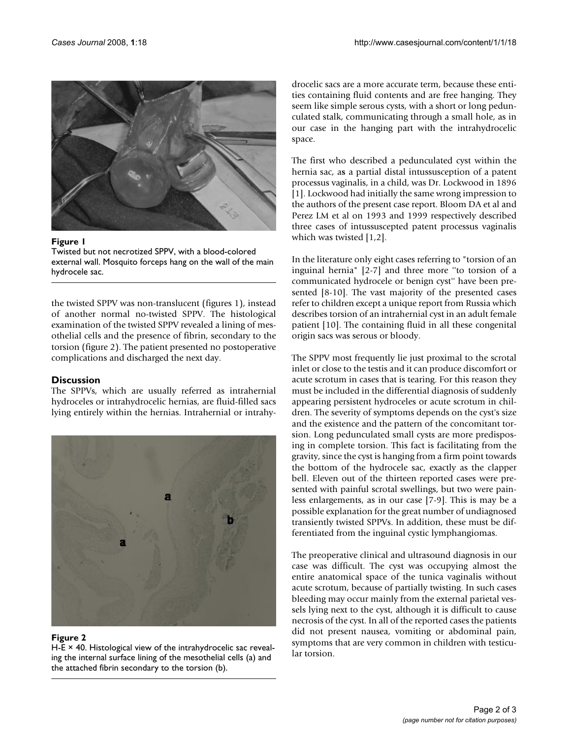

#### Figure 1

Twisted but not necrotized SPPV, with a blood-colored external wall. Mosquito forceps hang on the wall of the main hydrocele sac.

the twisted SPPV was non-translucent (figures 1), instead of another normal no-twisted SPPV. The histological examination of the twisted SPPV revealed a lining of mesothelial cells and the presence of fibrin, secondary to the torsion (figure 2). The patient presented no postoperative complications and discharged the next day.

# **Discussion**

The SPPVs, which are usually referred as intrahernial hydroceles or intrahydrocelic hernias, are fluid-filled sacs lying entirely within the hernias. Intrahernial or intrahy-



# **Figure 2**

H-E × 40. Histological view of the intrahydrocelic sac revealing the internal surface lining of the mesothelial cells (a) and the attached fibrin secondary to the torsion (b).

drocelic sacs are a more accurate term, because these entities containing fluid contents and are free hanging. They seem like simple serous cysts, with a short or long pedunculated stalk, communicating through a small hole, as in our case in the hanging part with the intrahydrocelic space.

The first who described a pedunculated cyst within the hernia sac, a**s** a partial distal intussusception of a patent processus vaginalis, in a child, was Dr. Lockwood in 1896 [1]. Lockwood had initially the same wrong impression to the authors of the present case report. Bloom DA et al and Perez LM et al on 1993 and 1999 respectively described three cases of intussuscepted patent processus vaginalis which was twisted [1,2].

In the literature only eight cases referring to "torsion of an inguinal hernia" [2-7] and three more ''to torsion of a communicated hydrocele or benign cyst'' have been presented [8-10]. The vast majority of the presented cases refer to children except a unique report from Russia which describes torsion of an intrahernial cyst in an adult female patient [10]. The containing fluid in all these congenital origin sacs was serous or bloody.

The SPPV most frequently lie just proximal to the scrotal inlet or close to the testis and it can produce discomfort or acute scrotum in cases that is tearing. For this reason they must be included in the differential diagnosis of suddenly appearing persistent hydroceles or acute scrotum in children. The severity of symptoms depends on the cyst's size and the existence and the pattern of the concomitant torsion. Long pedunculated small cysts are more predisposing in complete torsion. This fact is facilitating from the gravity, since the cyst is hanging from a firm point towards the bottom of the hydrocele sac, exactly as the clapper bell. Eleven out of the thirteen reported cases were presented with painful scrotal swellings, but two were painless enlargements, as in our case [7-9]. This is may be a possible explanation for the great number of undiagnosed transiently twisted SPPVs. In addition, these must be differentiated from the inguinal cystic lymphangiomas.

The preoperative clinical and ultrasound diagnosis in our case was difficult. The cyst was occupying almost the entire anatomical space of the tunica vaginalis without acute scrotum, because of partially twisting. In such cases bleeding may occur mainly from the external parietal vessels lying next to the cyst, although it is difficult to cause necrosis of the cyst. In all of the reported cases the patients did not present nausea, vomiting or abdominal pain, symptoms that are very common in children with testicular torsion.